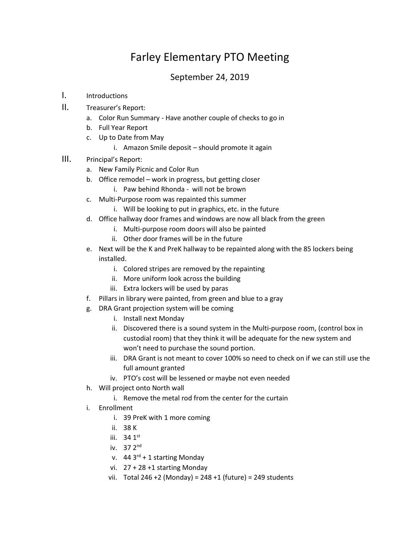## Farley Elementary PTO Meeting

## September 24, 2019

- I. Introductions
- II. Treasurer's Report:
	- a. Color Run Summary Have another couple of checks to go in
	- b. Full Year Report
	- c. Up to Date from May
		- i. Amazon Smile deposit should promote it again
- III. Principal's Report:
	- a. New Family Picnic and Color Run
	- b. Office remodel work in progress, but getting closer
		- i. Paw behind Rhonda will not be brown
	- c. Multi-Purpose room was repainted this summer
		- i. Will be looking to put in graphics, etc. in the future
	- d. Office hallway door frames and windows are now all black from the green
		- i. Multi-purpose room doors will also be painted
		- ii. Other door frames will be in the future
	- e. Next will be the K and PreK hallway to be repainted along with the 85 lockers being installed.
		- i. Colored stripes are removed by the repainting
		- ii. More uniform look across the building
		- iii. Extra lockers will be used by paras
	- f. Pillars in library were painted, from green and blue to a gray
	- g. DRA Grant projection system will be coming
		- i. Install next Monday
		- ii. Discovered there is a sound system in the Multi-purpose room, (control box in custodial room) that they think it will be adequate for the new system and won't need to purchase the sound portion.
		- iii. DRA Grant is not meant to cover 100% so need to check on if we can still use the full amount granted
		- iv. PTO's cost will be lessened or maybe not even needed
	- h. Will project onto North wall
		- i. Remove the metal rod from the center for the curtain
	- i. Enrollment
		- i. 39 PreK with 1 more coming
		- ii. 38 K
		- iii.  $34.1$ <sup>st</sup>
		- iv. 37 2nd
		- v.  $44 \cdot 3^{rd} + 1$  starting Monday
		- vi. 27 + 28 +1 starting Monday
		- vii. Total 246 +2 (Monday) = 248 +1 (future) = 249 students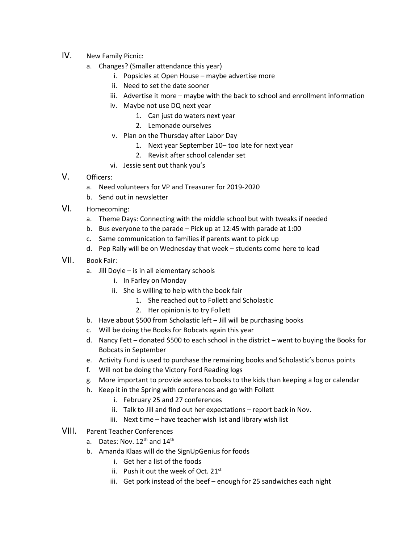- IV. New Family Picnic:
	- a. Changes? (Smaller attendance this year)
		- i. Popsicles at Open House maybe advertise more
		- ii. Need to set the date sooner
		- iii. Advertise it more maybe with the back to school and enrollment information
		- iv. Maybe not use DQ next year
			- 1. Can just do waters next year
			- 2. Lemonade ourselves
		- v. Plan on the Thursday after Labor Day
			- 1. Next year September 10– too late for next year
			- 2. Revisit after school calendar set
		- vi. Jessie sent out thank you's
- V. Officers:
	- a. Need volunteers for VP and Treasurer for 2019-2020
	- b. Send out in newsletter
- VI. Homecoming:
	- a. Theme Days: Connecting with the middle school but with tweaks if needed
	- b. Bus everyone to the parade Pick up at 12:45 with parade at 1:00
	- c. Same communication to families if parents want to pick up
	- d. Pep Rally will be on Wednesday that week students come here to lead
- VII. Book Fair:
	- a. Jill Doyle is in all elementary schools
		- i. In Farley on Monday
		- ii. She is willing to help with the book fair
			- 1. She reached out to Follett and Scholastic
			- 2. Her opinion is to try Follett
	- b. Have about \$500 from Scholastic left Jill will be purchasing books
	- c. Will be doing the Books for Bobcats again this year
	- d. Nancy Fett donated \$500 to each school in the district went to buying the Books for Bobcats in September
	- e. Activity Fund is used to purchase the remaining books and Scholastic's bonus points
	- f. Will not be doing the Victory Ford Reading logs
	- g. More important to provide access to books to the kids than keeping a log or calendar
	- h. Keep it in the Spring with conferences and go with Follett
		- i. February 25 and 27 conferences
		- ii. Talk to Jill and find out her expectations report back in Nov.
		- iii. Next time have teacher wish list and library wish list
- VIII. Parent Teacher Conferences
	- a. Dates: Nov.  $12^{th}$  and  $14^{th}$
	- b. Amanda Klaas will do the SignUpGenius for foods
		- i. Get her a list of the foods
		- ii. Push it out the week of Oct.  $21^{st}$
		- iii. Get pork instead of the beef enough for 25 sandwiches each night